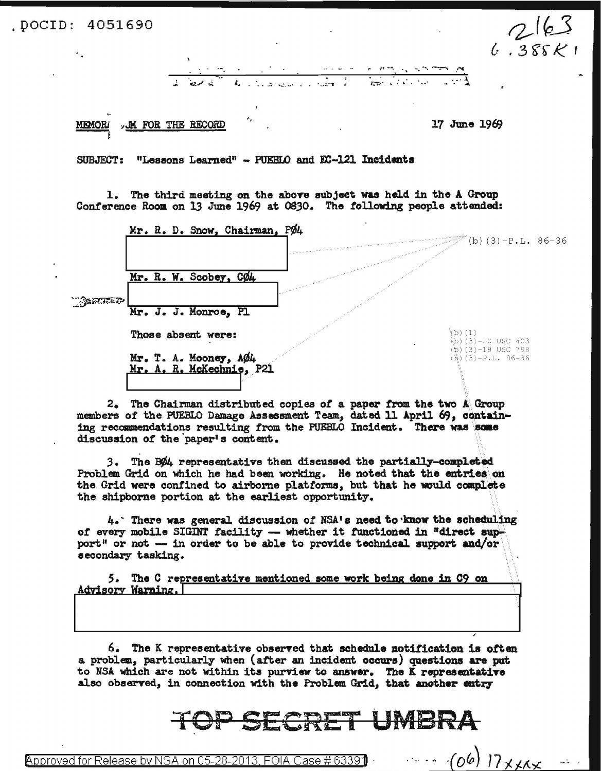DOCID: 4051690.

 $2163$  $6.385K$ 



M FOR THE RECORD MEMOR

17 June 1969

**SUBJECT:** "Lessons Learned" - PUEBLO and EC-121 Incidents

1. The third meeting on the above subject was held in the A Group Conference Room on 13 June 1969 at 0830. The following people attended:



2. The Chairman distributed copies of a paper from the two A Group members of the PUEBLO Damage Assessment Team, dated 11 April 69, containing recommendations resulting from the PUEBLO Incident. There was some discussion of the paper's content.

The BØ4 representative then discussed the partially-completed  $3.$ Problem Grid on which he had been working. He noted that the entries on the Grid were confined to airborne platforms, but that he would complete the shipborne portion at the earliest opportunity.

4. There was general discussion of NSA's need to know the scheduling of every mobile SIGINT facility -- whether it functioned in "direct support" or not -- in order to be able to provide technical support and/or secondary tasking.

5. The C representative mentioned some work being done in C9 on <u>Advisory Warning.</u>I

6. The K representative observed that schedule notification is often a problem, particularly when (after an incident occurs) questions are put to NSA which are not within its purview to answer. The K representative also observed, in connection with the Problem Grid, that another entry

## <u>LIMEIR.</u>

 $(06)$   $17$  x xxx Approved for Release by NSA on 05-28 <u>ase # 6339</u> EOIA